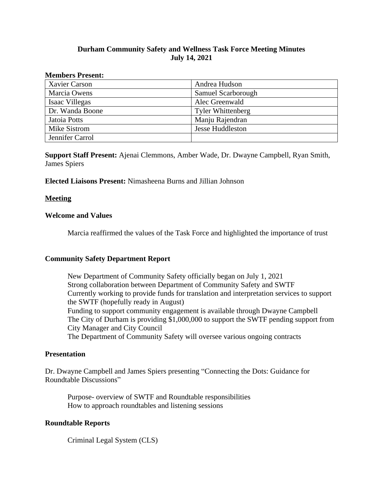# **Durham Community Safety and Wellness Task Force Meeting Minutes July 14, 2021**

#### **Members Present:**

| Xavier Carson   | Andrea Hudson            |
|-----------------|--------------------------|
| Marcia Owens    | Samuel Scarborough       |
| Isaac Villegas  | Alec Greenwald           |
| Dr. Wanda Boone | <b>Tyler Whittenberg</b> |
| Jatoia Potts    | Manju Rajendran          |
| Mike Sistrom    | <b>Jesse Huddleston</b>  |
| Jennifer Carrol |                          |

**Support Staff Present:** Ajenai Clemmons, Amber Wade, Dr. Dwayne Campbell, Ryan Smith, James Spiers

# **Elected Liaisons Present:** Nimasheena Burns and Jillian Johnson

### **Meeting**

### **Welcome and Values**

Marcia reaffirmed the values of the Task Force and highlighted the importance of trust

# **Community Safety Department Report**

New Department of Community Safety officially began on July 1, 2021 Strong collaboration between Department of Community Safety and SWTF Currently working to provide funds for translation and interpretation services to support the SWTF (hopefully ready in August) Funding to support community engagement is available through Dwayne Campbell The City of Durham is providing \$1,000,000 to support the SWTF pending support from City Manager and City Council The Department of Community Safety will oversee various ongoing contracts

#### **Presentation**

Dr. Dwayne Campbell and James Spiers presenting "Connecting the Dots: Guidance for Roundtable Discussions"

Purpose- overview of SWTF and Roundtable responsibilities How to approach roundtables and listening sessions

# **Roundtable Reports**

Criminal Legal System (CLS)